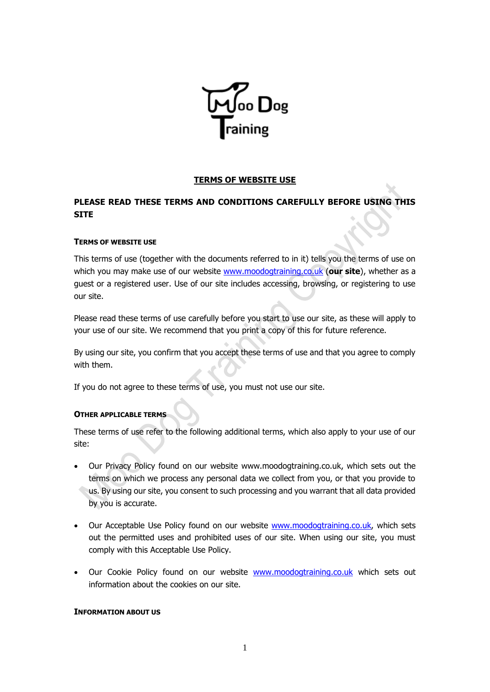

# **TERMS OF WEBSITE USE**

# **PLEASE READ THESE TERMS AND CONDITIONS CAREFULLY BEFORE USING THIS SITE**

#### **TERMS OF WEBSITE USE**

This terms of use (together with the documents referred to in it) tells you the terms of use on which you may make use of our website [www.moodogtraining.co.uk](http://www.moodogtraining.co.uk/) (our site), whether as a guest or a registered user. Use of our site includes accessing, browsing, or registering to use our site.

Please read these terms of use carefully before you start to use our site, as these will apply to your use of our site. We recommend that you print a copy of this for future reference.

By using our site, you confirm that you accept these terms of use and that you agree to comply with them.

If you do not agree to these terms of use, you must not use our site.

#### **OTHER APPLICABLE TERMS**

These terms of use refer to the following additional terms, which also apply to your use of our site:

- Our Privacy Policy found on our website www.moodogtraining.co.uk, which sets out the terms on which we process any personal data we collect from you, or that you provide to us. By using our site, you consent to such processing and you warrant that all data provided by you is accurate.
- Our Acceptable Use Policy found on our website [www.moodogtraining.co.uk,](http://www.moodogtraining.co.uk/) which sets out the permitted uses and prohibited uses of our site. When using our site, you must comply with this Acceptable Use Policy.
- Our Cookie Policy found on our website [www.moodogtraining.co.uk](http://www.moodogtraining.co.uk/) which sets out information about the cookies on our site.

#### **INFORMATION ABOUT US**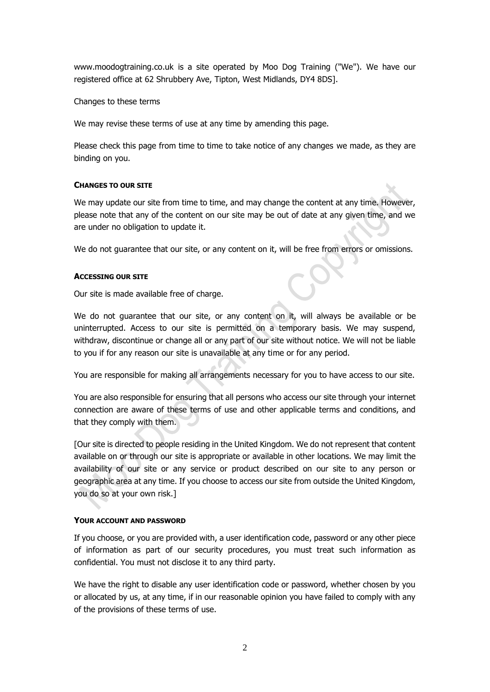www.moodogtraining.co.uk is a site operated by Moo Dog Training ("We"). We have our registered office at 62 Shrubbery Ave, Tipton, West Midlands, DY4 8DS].

Changes to these terms

We may revise these terms of use at any time by amending this page.

Please check this page from time to time to take notice of any changes we made, as they are binding on you.

# **CHANGES TO OUR SITE**

We may update our site from time to time, and may change the content at any time. However, please note that any of the content on our site may be out of date at any given time, and we are under no obligation to update it.

We do not guarantee that our site, or any content on it, will be free from errors or omissions.

# **ACCESSING OUR SITE**

Our site is made available free of charge.

We do not guarantee that our site, or any content on it, will always be available or be uninterrupted. Access to our site is permitted on a temporary basis. We may suspend, withdraw, discontinue or change all or any part of our site without notice. We will not be liable to you if for any reason our site is unavailable at any time or for any period.

You are responsible for making all arrangements necessary for you to have access to our site.

You are also responsible for ensuring that all persons who access our site through your internet connection are aware of these terms of use and other applicable terms and conditions, and that they comply with them.

[Our site is directed to people residing in the United Kingdom. We do not represent that content available on or through our site is appropriate or available in other locations. We may limit the availability of our site or any service or product described on our site to any person or geographic area at any time. If you choose to access our site from outside the United Kingdom, you do so at your own risk.]

## **YOUR ACCOUNT AND PASSWORD**

If you choose, or you are provided with, a user identification code, password or any other piece of information as part of our security procedures, you must treat such information as confidential. You must not disclose it to any third party.

We have the right to disable any user identification code or password, whether chosen by you or allocated by us, at any time, if in our reasonable opinion you have failed to comply with any of the provisions of these terms of use.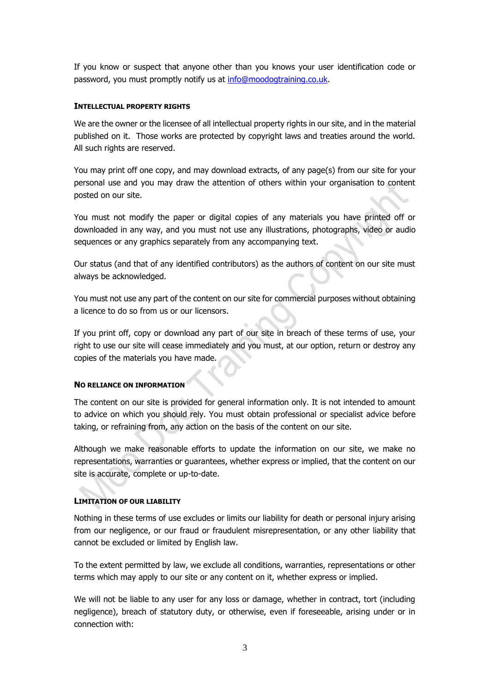If you know or suspect that anyone other than you knows your user identification code or password, you must promptly notify us at [info@moodogtraining.co.uk.](mailto:info@moodogtraining.co.uk)

### **INTELLECTUAL PROPERTY RIGHTS**

We are the owner or the licensee of all intellectual property rights in our site, and in the material published on it. Those works are protected by copyright laws and treaties around the world. All such rights are reserved.

You may print off one copy, and may download extracts, of any page(s) from our site for your personal use and you may draw the attention of others within your organisation to content posted on our site.

You must not modify the paper or digital copies of any materials you have printed off or downloaded in any way, and you must not use any illustrations, photographs, video or audio sequences or any graphics separately from any accompanying text.

Our status (and that of any identified contributors) as the authors of content on our site must always be acknowledged.

You must not use any part of the content on our site for commercial purposes without obtaining a licence to do so from us or our licensors.

If you print off, copy or download any part of our site in breach of these terms of use, your right to use our site will cease immediately and you must, at our option, return or destroy any copies of the materials you have made.

## **NO RELIANCE ON INFORMATION**

The content on our site is provided for general information only. It is not intended to amount to advice on which you should rely. You must obtain professional or specialist advice before taking, or refraining from, any action on the basis of the content on our site.

Although we make reasonable efforts to update the information on our site, we make no representations, warranties or guarantees, whether express or implied, that the content on our site is accurate, complete or up-to-date.

## **LIMITATION OF OUR LIABILITY**

Nothing in these terms of use excludes or limits our liability for death or personal injury arising from our negligence, or our fraud or fraudulent misrepresentation, or any other liability that cannot be excluded or limited by English law.

To the extent permitted by law, we exclude all conditions, warranties, representations or other terms which may apply to our site or any content on it, whether express or implied.

We will not be liable to any user for any loss or damage, whether in contract, tort (including negligence), breach of statutory duty, or otherwise, even if foreseeable, arising under or in connection with: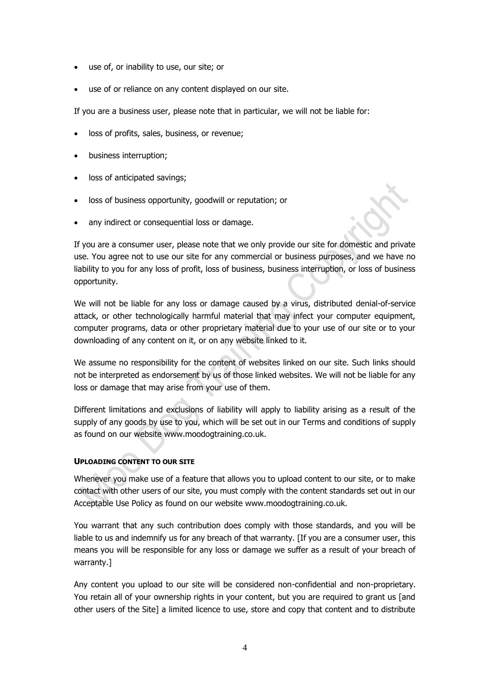- use of, or inability to use, our site; or
- use of or reliance on any content displayed on our site.

If you are a business user, please note that in particular, we will not be liable for:

- loss of profits, sales, business, or revenue;
- business interruption;
- loss of anticipated savings;
- loss of business opportunity, goodwill or reputation; or
- any indirect or consequential loss or damage.

If you are a consumer user, please note that we only provide our site for domestic and private use. You agree not to use our site for any commercial or business purposes, and we have no liability to you for any loss of profit, loss of business, business interruption, or loss of business opportunity.

We will not be liable for any loss or damage caused by a virus, distributed denial-of-service attack, or other technologically harmful material that may infect your computer equipment, computer programs, data or other proprietary material due to your use of our site or to your downloading of any content on it, or on any website linked to it.

We assume no responsibility for the content of websites linked on our site. Such links should not be interpreted as endorsement by us of those linked websites. We will not be liable for any loss or damage that may arise from your use of them.

Different limitations and exclusions of liability will apply to liability arising as a result of the supply of any goods by use to you, which will be set out in our Terms and conditions of supply as found on our website www.moodogtraining.co.uk.

## **UPLOADING CONTENT TO OUR SITE**

Whenever you make use of a feature that allows you to upload content to our site, or to make contact with other users of our site, you must comply with the content standards set out in our Acceptable Use Policy as found on our website www.moodogtraining.co.uk.

You warrant that any such contribution does comply with those standards, and you will be liable to us and indemnify us for any breach of that warranty. [If you are a consumer user, this means you will be responsible for any loss or damage we suffer as a result of your breach of warranty.]

Any content you upload to our site will be considered non-confidential and non-proprietary. You retain all of your ownership rights in your content, but you are required to grant us [and other users of the Site] a limited licence to use, store and copy that content and to distribute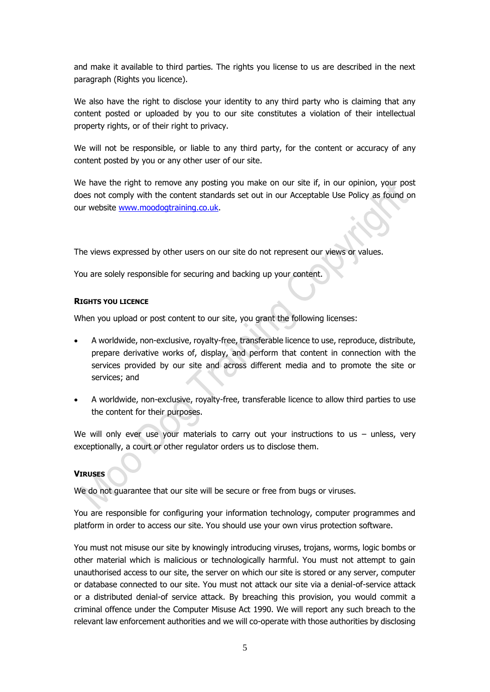and make it available to third parties. The rights you license to us are described in the next paragraph (Rights you licence).

We also have the right to disclose your identity to any third party who is claiming that any content posted or uploaded by you to our site constitutes a violation of their intellectual property rights, or of their right to privacy.

We will not be responsible, or liable to any third party, for the content or accuracy of any content posted by you or any other user of our site.

We have the right to remove any posting you make on our site if, in our opinion, your post does not comply with the content standards set out in our Acceptable Use Policy as found on our website [www.moodogtraining.co.uk.](http://www.moodogtraining.co.uk/)

The views expressed by other users on our site do not represent our views or values.

You are solely responsible for securing and backing up your content.

#### **RIGHTS YOU LICENCE**

When you upload or post content to our site, you grant the following licenses:

- A worldwide, non-exclusive, royalty-free, transferable licence to use, reproduce, distribute, prepare derivative works of, display, and perform that content in connection with the services provided by our site and across different media and to promote the site or services; and
- A worldwide, non-exclusive, royalty-free, transferable licence to allow third parties to use the content for their purposes.

We will only ever use your materials to carry out your instructions to us  $-$  unless, very exceptionally, a court or other regulator orders us to disclose them.

## **VIRUSES**

We do not guarantee that our site will be secure or free from bugs or viruses.

You are responsible for configuring your information technology, computer programmes and platform in order to access our site. You should use your own virus protection software.

You must not misuse our site by knowingly introducing viruses, trojans, worms, logic bombs or other material which is malicious or technologically harmful. You must not attempt to gain unauthorised access to our site, the server on which our site is stored or any server, computer or database connected to our site. You must not attack our site via a denial-of-service attack or a distributed denial-of service attack. By breaching this provision, you would commit a criminal offence under the Computer Misuse Act 1990. We will report any such breach to the relevant law enforcement authorities and we will co-operate with those authorities by disclosing